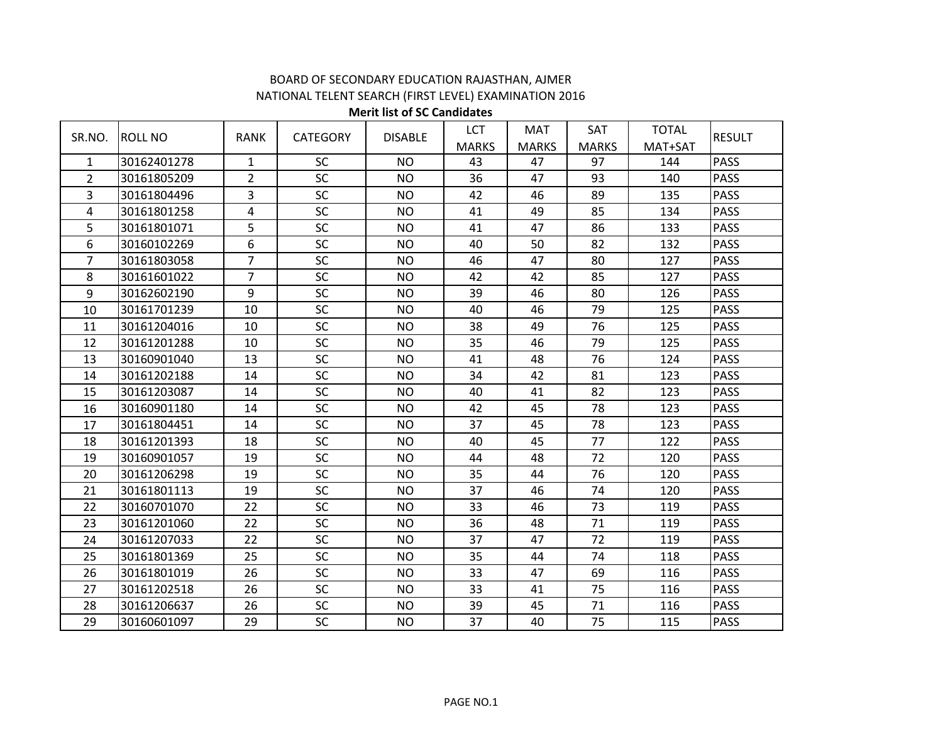## BOARD OF SECONDARY EDUCATION RAJASTHAN, AJMER NATIONAL TELENT SEARCH (FIRST LEVEL) EXAMINATION 2016

**Merit list of SC Candidates** 

| SR.NO.         | <b>ROLL NO</b> | <b>RANK</b>    | <b>CATEGORY</b> | <b>DISABLE</b> | <b>LCT</b>   | <b>MAT</b>   | <b>SAT</b>   | <b>TOTAL</b> | <b>RESULT</b> |
|----------------|----------------|----------------|-----------------|----------------|--------------|--------------|--------------|--------------|---------------|
|                |                |                |                 |                | <b>MARKS</b> | <b>MARKS</b> | <b>MARKS</b> | MAT+SAT      |               |
| 1              | 30162401278    | 1              | <b>SC</b>       | <b>NO</b>      | 43           | 47           | 97           | 144          | PASS          |
| $\overline{2}$ | 30161805209    | $\overline{2}$ | SC              | <b>NO</b>      | 36           | 47           | 93           | 140          | <b>PASS</b>   |
| 3              | 30161804496    | 3              | SC              | <b>NO</b>      | 42           | 46           | 89           | 135          | <b>PASS</b>   |
| 4              | 30161801258    | 4              | SC              | <b>NO</b>      | 41           | 49           | 85           | 134          | PASS          |
| 5              | 30161801071    | 5              | SC              | <b>NO</b>      | 41           | 47           | 86           | 133          | <b>PASS</b>   |
| 6              | 30160102269    | 6              | SC              | <b>NO</b>      | 40           | 50           | 82           | 132          | PASS          |
| 7              | 30161803058    | 7              | SC              | <b>NO</b>      | 46           | 47           | 80           | 127          | PASS          |
| 8              | 30161601022    | $\overline{7}$ | SC              | <b>NO</b>      | 42           | 42           | 85           | 127          | <b>PASS</b>   |
| 9              | 30162602190    | 9              | SC              | <b>NO</b>      | 39           | 46           | 80           | 126          | PASS          |
| 10             | 30161701239    | 10             | SC              | <b>NO</b>      | 40           | 46           | 79           | 125          | <b>PASS</b>   |
| 11             | 30161204016    | 10             | SC              | <b>NO</b>      | 38           | 49           | 76           | 125          | <b>PASS</b>   |
| 12             | 30161201288    | 10             | SC              | <b>NO</b>      | 35           | 46           | 79           | 125          | <b>PASS</b>   |
| 13             | 30160901040    | 13             | SC              | <b>NO</b>      | 41           | 48           | 76           | 124          | <b>PASS</b>   |
| 14             | 30161202188    | 14             | <b>SC</b>       | <b>NO</b>      | 34           | 42           | 81           | 123          | PASS          |
| 15             | 30161203087    | 14             | SC              | <b>NO</b>      | 40           | 41           | 82           | 123          | PASS          |
| 16             | 30160901180    | 14             | SC              | <b>NO</b>      | 42           | 45           | 78           | 123          | <b>PASS</b>   |
| 17             | 30161804451    | 14             | SC              | <b>NO</b>      | 37           | 45           | 78           | 123          | PASS          |
| 18             | 30161201393    | 18             | SC              | <b>NO</b>      | 40           | 45           | 77           | 122          | PASS          |
| 19             | 30160901057    | 19             | SC              | <b>NO</b>      | 44           | 48           | 72           | 120          | PASS          |
| 20             | 30161206298    | 19             | <b>SC</b>       | <b>NO</b>      | 35           | 44           | 76           | 120          | <b>PASS</b>   |
| 21             | 30161801113    | 19             | SC              | <b>NO</b>      | 37           | 46           | 74           | 120          | <b>PASS</b>   |
| 22             | 30160701070    | 22             | <b>SC</b>       | <b>NO</b>      | 33           | 46           | 73           | 119          | PASS          |
| 23             | 30161201060    | 22             | SC              | <b>NO</b>      | 36           | 48           | 71           | 119          | PASS          |
| 24             | 30161207033    | 22             | SC              | <b>NO</b>      | 37           | 47           | 72           | 119          | <b>PASS</b>   |
| 25             | 30161801369    | 25             | SC              | <b>NO</b>      | 35           | 44           | 74           | 118          | PASS          |
| 26             | 30161801019    | 26             | SC              | <b>NO</b>      | 33           | 47           | 69           | 116          | <b>PASS</b>   |
| 27             | 30161202518    | 26             | SC              | <b>NO</b>      | 33           | 41           | 75           | 116          | <b>PASS</b>   |
| 28             | 30161206637    | 26             | SC              | <b>NO</b>      | 39           | 45           | 71           | 116          | <b>PASS</b>   |
| 29             | 30160601097    | 29             | SC              | <b>NO</b>      | 37           | 40           | 75           | 115          | <b>PASS</b>   |